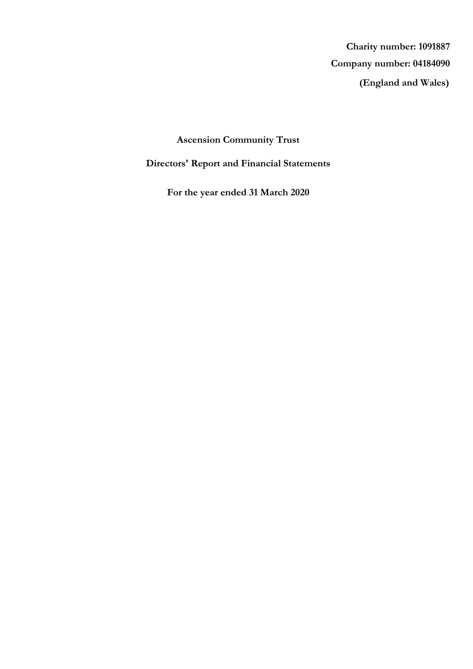**(England and Wales) Company number: 04184090 Charity number: 1091887**

# **Ascension Community Trust**

# **Directors' Report and Financial Statements**

**For the year ended 31 March 2020**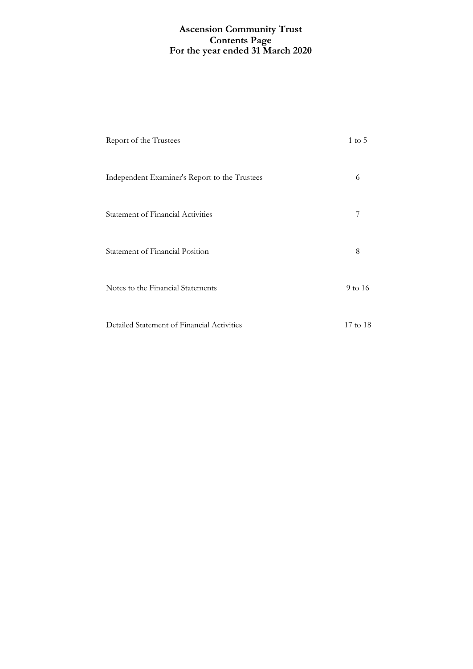### **For the year ended 31 March 2020 Ascension Community Trust Contents Page**

| Report of the Trustees                        | $1 \text{ to } 5$ |
|-----------------------------------------------|-------------------|
| Independent Examiner's Report to the Trustees | 6                 |
| <b>Statement of Financial Activities</b>      | 7                 |
| Statement of Financial Position               | 8                 |
| Notes to the Financial Statements             | 9 to 16           |
| Detailed Statement of Financial Activities    | 17 to 18          |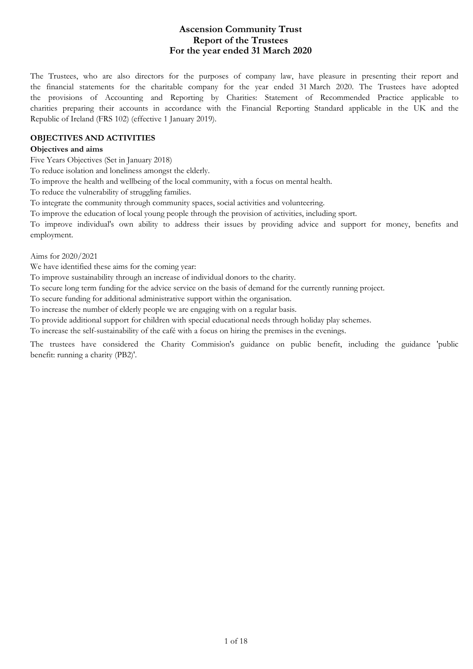### **For the year ended 31 March 2020 Ascension Community Trust Report of the Trustees**

The Trustees, who are also directors for the purposes of company law, have pleasure in presenting their report and the financial statements for the charitable company for the year ended 31 March 2020. The Trustees have adopted the provisions of Accounting and Reporting by Charities: Statement of Recommended Practice applicable to charities preparing their accounts in accordance with the Financial Reporting Standard applicable in the UK and the Republic of Ireland (FRS 102) (effective 1 January 2019).

#### **OBJECTIVES AND ACTIVITIES**

#### **Objectives and aims**

Five Years Objectives (Set in January 2018)

To reduce isolation and loneliness amongst the elderly.

To improve the health and wellbeing of the local community, with a focus on mental health.

To reduce the vulnerability of struggling families.

To integrate the community through community spaces, social activities and volunteering.

To improve the education of local young people through the provision of activities, including sport.

To improve individual's own ability to address their issues by providing advice and support for money, benefits and employment.

Aims for 2020/2021

We have identified these aims for the coming year:

To improve sustainability through an increase of individual donors to the charity.

To secure long term funding for the advice service on the basis of demand for the currently running project.

To secure funding for additional administrative support within the organisation.

To increase the number of elderly people we are engaging with on a regular basis.

To provide additional support for children with special educational needs through holiday play schemes.

To increase the self-sustainability of the café with a focus on hiring the premises in the evenings.

The trustees have considered the Charity Commision's guidance on public benefit, including the guidance 'public benefit: running a charity (PB2)'.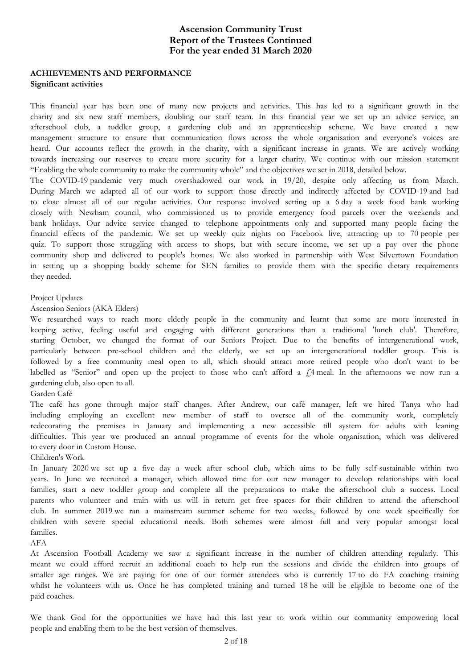### **For the year ended 31 March 2020 Ascension Community Trust Report of the Trustees Continued**

# **ACHIEVEMENTS AND PERFORMANCE**

### **Significant activities**

This financial year has been one of many new projects and activities. This has led to a significant growth in the charity and six new staff members, doubling our staff team. In this financial year we set up an advice service, an afterschool club, a toddler group, a gardening club and an apprenticeship scheme. We have created a new management structure to ensure that communication flows across the whole organisation and everyone's voices are heard. Our accounts reflect the growth in the charity, with a significant increase in grants. We are actively working towards increasing our reserves to create more security for a larger charity. We continue with our mission statement "Enabling the whole community to make the community whole" and the objectives we set in 2018, detailed below.

The COVID-19 pandemic very much overshadowed our work in 19/20, despite only affecting us from March. During March we adapted all of our work to support those directly and indirectly affected by COVID-19 and had to close almost all of our regular activities. Our response involved setting up a 6 day a week food bank working closely with Newham council, who commissioned us to provide emergency food parcels over the weekends and bank holidays. Our advice service changed to telephone appointments only and supported many people facing the financial effects of the pandemic. We set up weekly quiz nights on Facebook live, attracting up to 70 people per quiz. To support those struggling with access to shops, but with secure income, we set up a pay over the phone community shop and delivered to people's homes. We also worked in partnership with West Silvertown Foundation in setting up a shopping buddy scheme for SEN families to provide them with the specific dietary requirements they needed.

#### Project Updates

Ascension Seniors (AKA Elders)

We researched ways to reach more elderly people in the community and learnt that some are more interested in keeping active, feeling useful and engaging with different generations than a traditional 'lunch club'. Therefore, starting October, we changed the format of our Seniors Project. Due to the benefits of intergenerational work, particularly between pre-school children and the elderly, we set up an intergenerational toddler group. This is followed by a free community meal open to all, which should attract more retired people who don't want to be labelled as "Senior" and open up the project to those who can't afford a  $\ell$ 4 meal. In the afternoons we now run a gardening club, also open to all.

#### Garden Café

The café has gone through major staff changes. After Andrew, our café manager, left we hired Tanya who had including employing an excellent new member of staff to oversee all of the community work, completely redecorating the premises in January and implementing a new accessible till system for adults with leaning difficulties. This year we produced an annual programme of events for the whole organisation, which was delivered to every door in Custom House.

#### Children's Work

In January 2020 we set up a five day a week after school club, which aims to be fully self-sustainable within two years. In June we recruited a manager, which allowed time for our new manager to develop relationships with local families, start a new toddler group and complete all the preparations to make the afterschool club a success. Local parents who volunteer and train with us will in return get free spaces for their children to attend the afterschool club. In summer 2019 we ran a mainstream summer scheme for two weeks, followed by one week specifically for children with severe special educational needs. Both schemes were almost full and very popular amongst local families.

AFA

At Ascension Football Academy we saw a significant increase in the number of children attending regularly. This meant we could afford recruit an additional coach to help run the sessions and divide the children into groups of smaller age ranges. We are paying for one of our former attendees who is currently 17 to do FA coaching training whilst he volunteers with us. Once he has completed training and turned 18 he will be eligible to become one of the paid coaches.

We thank God for the opportunities we have had this last year to work within our community empowering local people and enabling them to be the best version of themselves.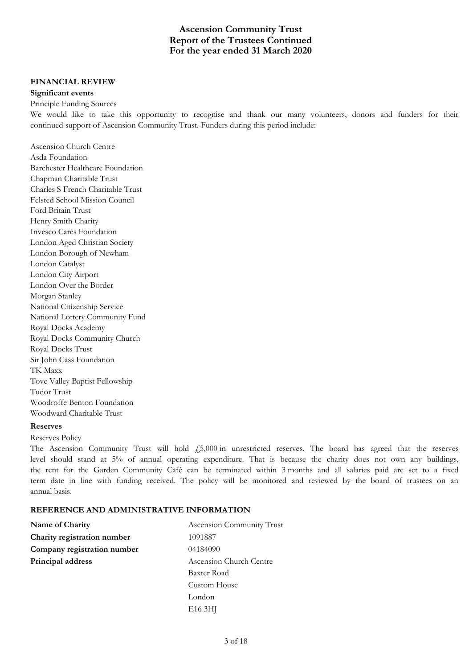### **For the year ended 31 March 2020 Ascension Community Trust Report of the Trustees Continued**

#### **FINANCIAL REVIEW**

#### **Significant events**

#### Principle Funding Sources

We would like to take this opportunity to recognise and thank our many volunteers, donors and funders for their continued support of Ascension Community Trust. Funders during this period include:

Ascension Church Centre Asda Foundation Barchester Healthcare Foundation Chapman Charitable Trust Charles S French Charitable Trust Felsted School Mission Council Ford Britain Trust Henry Smith Charity Invesco Cares Foundation London Aged Christian Society London Borough of Newham London Catalyst London City Airport London Over the Border Morgan Stanley National Citizenship Service National Lottery Community Fund Royal Docks Academy Royal Docks Community Church Royal Docks Trust Sir John Cass Foundation TK Maxx Tove Valley Baptist Fellowship Tudor Trust Woodroffe Benton Foundation Woodward Charitable Trust

### **Reserves**

#### Reserves Policy

The Ascension Community Trust will hold  $f_2$ 5,000 in unrestricted reserves. The board has agreed that the reserves level should stand at 5% of annual operating expenditure. That is because the charity does not own any buildings, the rent for the Garden Community Café can be terminated within 3 months and all salaries paid are set to a fixed term date in line with funding received. The policy will be monitored and reviewed by the board of trustees on an annual basis.

### **REFERENCE AND ADMINISTRATIVE INFORMATION**

| Name of Charity             | Ascension Community Trust |  |
|-----------------------------|---------------------------|--|
| Charity registration number | 1091887                   |  |
| Company registration number | 04184090                  |  |
| Principal address           | Ascension Church Centre   |  |
|                             | Baxter Road               |  |
|                             | Custom House              |  |
|                             | London                    |  |
|                             | E <sub>16</sub> 3HJ       |  |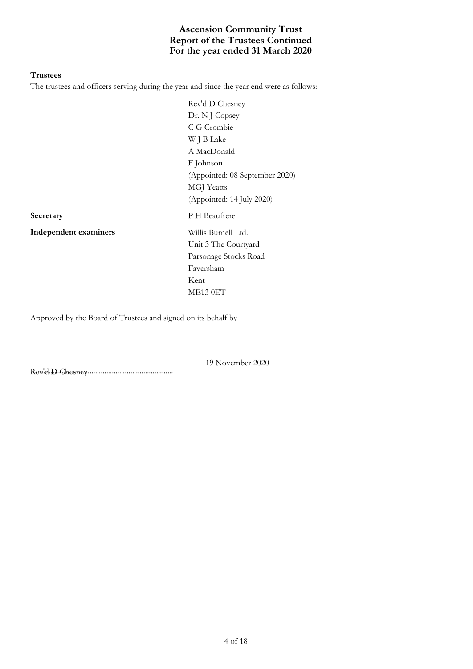# **For the year ended 31 March 2020 Ascension Community Trust Report of the Trustees Continued**

#### **Trustees**

The trustees and officers serving during the year and since the year end were as follows:

Rev'd D Chesney Dr. N J Copsey C G Crombie W J B Lake A MacDonald F Johnson (Appointed: 08 September 2020) MGJ Yeatts (Appointed: 14 July 2020) **Secretary** P H Beaufrere Unit 3 The Courtyard Parsonage Stocks Road Faversham Kent

**Independent examiners** Willis Burnell Ltd.

ME13 0ET

Approved by the Board of Trustees and signed on its behalf by

............................................................................. Rev'd D Chesney

19 November 2020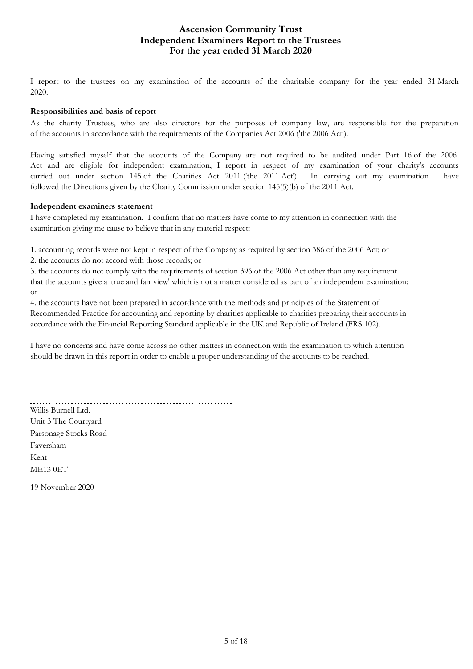## **For the year ended 31 March 2020 Ascension Community Trust Independent Examiners Report to the Trustees**

I report to the trustees on my examination of the accounts of the charitable company for the year ended 31 March 2020.

### **Responsibilities and basis of report**

As the charity Trustees, who are also directors for the purposes of company law, are responsible for the preparation of the accounts in accordance with the requirements of the Companies Act 2006 ('the 2006 Act').

Having satisfied myself that the accounts of the Company are not required to be audited under Part 16 of the 2006 Act and are eligible for independent examination, I report in respect of my examination of your charity's accounts carried out under section 145 of the Charities Act 2011 ('the 2011 Act'). In carrying out my examination I have followed the Directions given by the Charity Commission under section 145(5)(b) of the 2011 Act.

### **Independent examiners statement**

I have completed my examination. I confirm that no matters have come to my attention in connection with the examination giving me cause to believe that in any material respect:

1. accounting records were not kept in respect of the Company as required by section 386 of the 2006 Act; or

2. the accounts do not accord with those records; or

3. the accounts do not comply with the requirements of section 396 of the 2006 Act other than any requirement that the accounts give a 'true and fair view' which is not a matter considered as part of an independent examination; or

4. the accounts have not been prepared in accordance with the methods and principles of the Statement of Recommended Practice for accounting and reporting by charities applicable to charities preparing their accounts in accordance with the Financial Reporting Standard applicable in the UK and Republic of Ireland (FRS 102).

I have no concerns and have come across no other matters in connection with the examination to which attention should be drawn in this report in order to enable a proper understanding of the accounts to be reached.

Willis Burnell Ltd. Unit 3 The Courtyard Parsonage Stocks Road Faversham Kent ME13 0ET

19 November 2020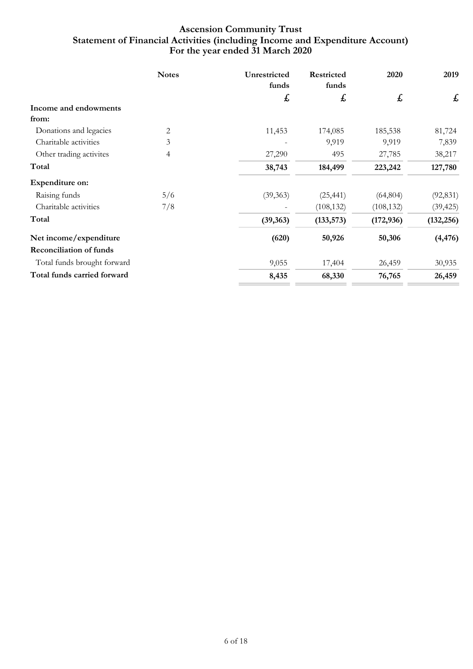# **For the year ended 31 March 2020 Ascension Community Trust Statement of Financial Activities (including Income and Expenditure Account)**

|                                | <b>Notes</b> | Unrestricted<br>funds     | Restricted<br>funds | 2020       | 2019       |
|--------------------------------|--------------|---------------------------|---------------------|------------|------------|
|                                |              | $\boldsymbol{\mathit{f}}$ | £                   | £          | £          |
| Income and endowments          |              |                           |                     |            |            |
| from:                          |              |                           |                     |            |            |
| Donations and legacies         | 2            | 11,453                    | 174,085             | 185,538    | 81,724     |
| Charitable activities          | 3            |                           | 9,919               | 9,919      | 7,839      |
| Other trading activites        | 4            | 27,290                    | 495                 | 27,785     | 38,217     |
| Total                          |              | 38,743                    | 184,499             | 223,242    | 127,780    |
| Expenditure on:                |              |                           |                     |            |            |
| Raising funds                  | 5/6          | (39, 363)                 | (25, 441)           | (64, 804)  | (92, 831)  |
| Charitable activities          | 7/8          |                           | (108, 132)          | (108, 132) | (39, 425)  |
| Total                          |              | (39, 363)                 | (133, 573)          | (172, 936) | (132, 256) |
| Net income/expenditure         |              | (620)                     | 50,926              | 50,306     | (4, 476)   |
| <b>Reconciliation of funds</b> |              |                           |                     |            |            |
| Total funds brought forward    |              | 9,055                     | 17,404              | 26,459     | 30,935     |
| Total funds carried forward    |              | 8,435                     | 68,330              | 76,765     | 26,459     |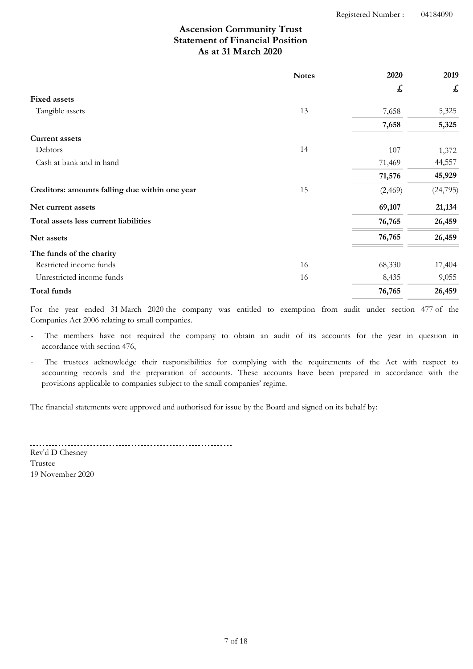# **As at 31 March 2020 Ascension Community Trust Statement of Financial Position**

|                                                | <b>Notes</b> | 2020    | 2019      |
|------------------------------------------------|--------------|---------|-----------|
|                                                |              | £       | £         |
| <b>Fixed assets</b>                            |              |         |           |
| Tangible assets                                | 13           | 7,658   | 5,325     |
|                                                |              | 7,658   | 5,325     |
| <b>Current assets</b>                          |              |         |           |
| Debtors                                        | 14           | 107     | 1,372     |
| Cash at bank and in hand                       |              | 71,469  | 44,557    |
|                                                |              | 71,576  | 45,929    |
| Creditors: amounts falling due within one year | 15           | (2,469) | (24, 795) |
| Net current assets                             |              | 69,107  | 21,134    |
| Total assets less current liabilities          |              | 76,765  | 26,459    |
| Net assets                                     |              | 76,765  | 26,459    |
| The funds of the charity                       |              |         |           |
| Restricted income funds                        | 16           | 68,330  | 17,404    |
| Unrestricted income funds                      | 16           | 8,435   | 9,055     |
| Total funds                                    |              | 76,765  | 26,459    |

For the year ended 31 March 2020 the company was entitled to exemption from audit under section 477 of the Companies Act 2006 relating to small companies.

The members have not required the company to obtain an audit of its accounts for the year in question in accordance with section 476,

The trustees acknowledge their responsibilities for complying with the requirements of the Act with respect to accounting records and the preparation of accounts. These accounts have been prepared in accordance with the provisions applicable to companies subject to the small companies' regime.

The financial statements were approved and authorised for issue by the Board and signed on its behalf by:

Rev'd D Chesney Trustee 19 November 2020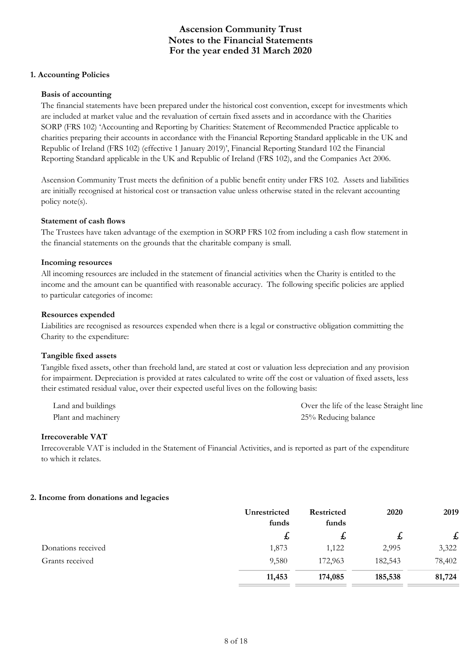#### **1. Accounting Policies**

#### **Basis of accounting**

The financial statements have been prepared under the historical cost convention, except for investments which are included at market value and the revaluation of certain fixed assets and in accordance with the Charities SORP (FRS 102) 'Accounting and Reporting by Charities: Statement of Recommended Practice applicable to charities preparing their accounts in accordance with the Financial Reporting Standard applicable in the UK and Republic of Ireland (FRS 102) (effective 1 January 2019)', Financial Reporting Standard 102 the Financial Reporting Standard applicable in the UK and Republic of Ireland (FRS 102), and the Companies Act 2006.

Ascension Community Trust meets the definition of a public benefit entity under FRS 102. Assets and liabilities are initially recognised at historical cost or transaction value unless otherwise stated in the relevant accounting policy note(s).

#### **Statement of cash flows**

The Trustees have taken advantage of the exemption in SORP FRS 102 from including a cash flow statement in the financial statements on the grounds that the charitable company is small.

#### **Incoming resources**

All incoming resources are included in the statement of financial activities when the Charity is entitled to the income and the amount can be quantified with reasonable accuracy. The following specific policies are applied to particular categories of income:

#### **Resources expended**

Liabilities are recognised as resources expended when there is a legal or constructive obligation committing the Charity to the expenditure:

### **Tangible fixed assets**

Tangible fixed assets, other than freehold land, are stated at cost or valuation less depreciation and any provision for impairment. Depreciation is provided at rates calculated to write off the cost or valuation of fixed assets, less their estimated residual value, over their expected useful lives on the following basis:

| Land and buildings  | Over the life of the lease Straight line |
|---------------------|------------------------------------------|
| Plant and machinery | 25% Reducing balance                     |

#### **Irrecoverable VAT**

Irrecoverable VAT is included in the Statement of Financial Activities, and is reported as part of the expenditure to which it relates.

#### **2. Income from donations and legacies**

|                    | Unrestricted<br>funds | <b>Restricted</b><br>funds | 2020    | 2019   |
|--------------------|-----------------------|----------------------------|---------|--------|
|                    | 圡                     | ょ                          | た       | £      |
| Donations received | 1,873                 | 1,122                      | 2,995   | 3,322  |
| Grants received    | 9,580                 | 172,963                    | 182,543 | 78,402 |
|                    | 11,453                | 174,085                    | 185,538 | 81,724 |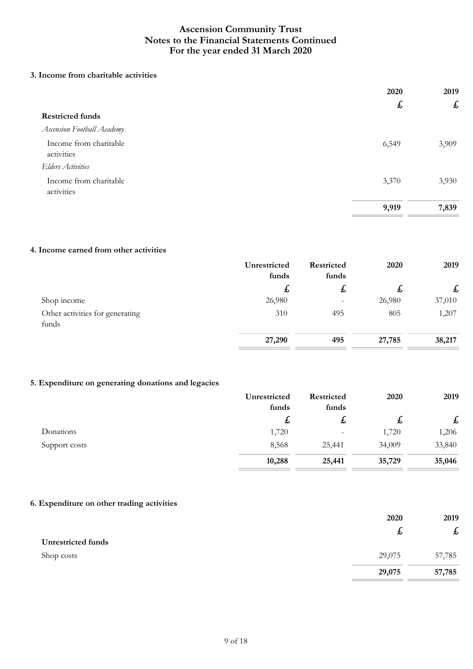### **3. Income from charitable activities**

|                                      | 2020             | 2019  |
|--------------------------------------|------------------|-------|
|                                      | $\boldsymbol{t}$ | £     |
| <b>Restricted funds</b>              |                  |       |
| Ascension Football Academy           |                  |       |
| Income from charitable<br>activities | 6,549            | 3,909 |
| <b>Elders Activities</b>             |                  |       |
| Income from charitable<br>activities | 3,370            | 3,930 |
|                                      | 9,919            | 7,839 |
|                                      |                  |       |

### **4. Income earned from other activities**

|                                          | Unrestricted<br>funds | <b>Restricted</b><br>funds | 2020   | 2019   |
|------------------------------------------|-----------------------|----------------------------|--------|--------|
|                                          | t,                    | ょ                          | た      | £      |
| Shop income                              | 26,980                |                            | 26,980 | 37,010 |
| Other activities for generating<br>funds | 310                   | 495                        | 805    | 1,207  |
|                                          | 27,290                | 495                        | 27,785 | 38,217 |

### **5. Expenditure on generating donations and legacies**

|               | Unrestricted<br>funds | Restricted<br>funds | 2020   | 2019   |
|---------------|-----------------------|---------------------|--------|--------|
|               | ょ                     | ょ                   | ょ      | £      |
| Donations     | 1,720                 | -                   | 1,720  | 1,206  |
| Support costs | 8,568                 | 25,441              | 34,009 | 33,840 |
|               | 10,288                | 25,441              | 35,729 | 35,046 |

### **6. Expenditure on other trading activities**

|                           | 2020             | 2019                      |
|---------------------------|------------------|---------------------------|
|                           | $\boldsymbol{t}$ | $\boldsymbol{\mathit{f}}$ |
| <b>Unrestricted funds</b> |                  |                           |
| Shop costs                | 29,075           | 57,785                    |
|                           | 29,075           | 57,785                    |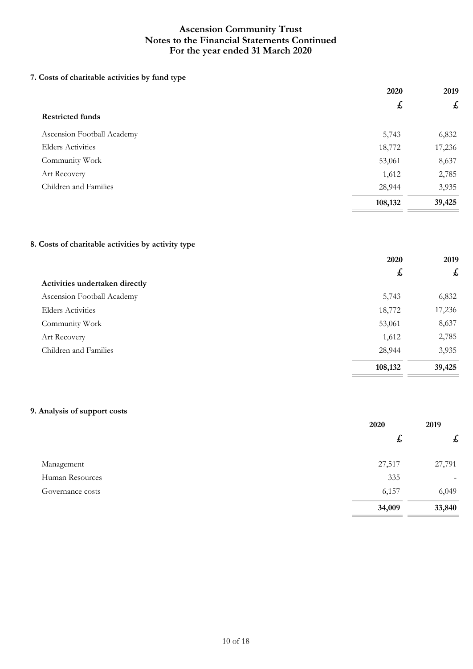# **7. Costs of charitable activities by fund type**

|                            | 2020    | 2019               |
|----------------------------|---------|--------------------|
|                            | £       | $\pmb{\mathit{f}}$ |
| <b>Restricted funds</b>    |         |                    |
| Ascension Football Academy | 5,743   | 6,832              |
| <b>Elders Activities</b>   | 18,772  | 17,236             |
| Community Work             | 53,061  | 8,637              |
| Art Recovery               | 1,612   | 2,785              |
| Children and Families      | 28,944  | 3,935              |
|                            | 108,132 | 39,425             |

### **8. Costs of charitable activities by activity type**

|                                | 2020    | 2019                      |
|--------------------------------|---------|---------------------------|
|                                | £       | $\boldsymbol{\mathit{f}}$ |
| Activities undertaken directly |         |                           |
| Ascension Football Academy     | 5,743   | 6,832                     |
| <b>Elders Activities</b>       | 18,772  | 17,236                    |
| Community Work                 | 53,061  | 8,637                     |
| Art Recovery                   | 1,612   | 2,785                     |
| Children and Families          | 28,944  | 3,935                     |
|                                | 108,132 | 39,425                    |

### **9. Analysis of support costs**

|                  | 2020   | 2019                      |
|------------------|--------|---------------------------|
|                  | £,     | $\boldsymbol{\mathit{f}}$ |
| Management       | 27,517 | 27,791                    |
| Human Resources  | 335    | $\overline{\phantom{0}}$  |
| Governance costs | 6,157  | 6,049                     |
|                  | 34,009 | 33,840                    |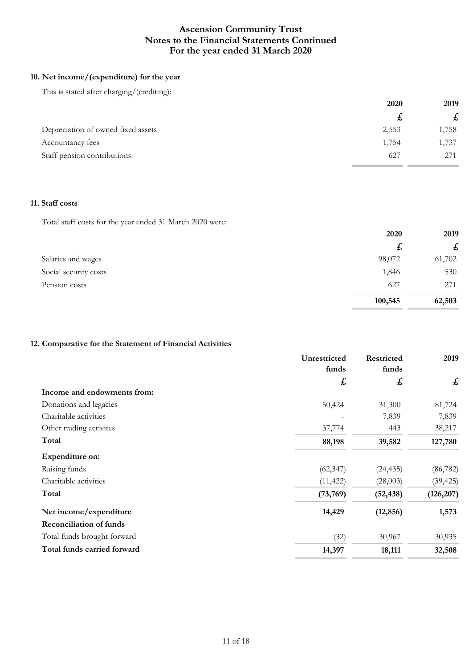### **10. Net income/(expenditure) for the year**

This is stated after charging/(crediting):

|                                    | 2020  | 2019  |
|------------------------------------|-------|-------|
|                                    |       | £     |
| Depreciation of owned fixed assets | 2,553 | 1,758 |
| Accountancy fees                   | 1,754 | 1,737 |
| Staff pension contributions        | 627   | 271   |

### **11. Staff costs**

Total staff costs for the year ended 31 March 2020 were:

|                       | 2020    | 2019         |
|-----------------------|---------|--------------|
|                       | £       | $\mathbf{f}$ |
| Salaries and wages    | 98,072  | 61,702       |
| Social security costs | 1,846   | 530          |
| Pension costs         | 627     | 271          |
|                       | 100,545 | 62,503       |

### **12. Comparative for the Statement of Financial Activities**

|                                | Unrestricted<br>funds | <b>Restricted</b><br>funds | 2019       |
|--------------------------------|-----------------------|----------------------------|------------|
|                                | £                     | £                          | £          |
| Income and endowments from:    |                       |                            |            |
| Donations and legacies         | 50,424                | 31,300                     | 81,724     |
| Charitable activities          |                       | 7,839                      | 7,839      |
| Other trading activites        | 37,774                | 443                        | 38,217     |
| Total                          | 88,198                | 39,582                     | 127,780    |
| <b>Expenditure on:</b>         |                       |                            |            |
| Raising funds                  | (62, 347)             | (24, 435)                  | (86, 782)  |
| Charitable activities          | (11, 422)             | (28,003)                   | (39, 425)  |
| Total                          | (73,769)              | (52, 438)                  | (126, 207) |
| Net income/expenditure         | 14,429                | (12, 856)                  | 1,573      |
| <b>Reconciliation of funds</b> |                       |                            |            |
| Total funds brought forward    | (32)                  | 30,967                     | 30,935     |
| Total funds carried forward    | 14,397                | 18,111                     | 32,508     |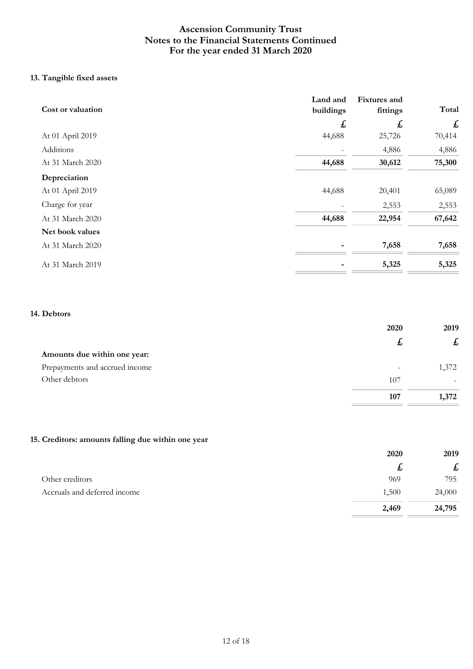# **13. Tangible fixed assets**

| Cost or valuation | Land and<br>buildings | Fixtures and<br>fittings | Total              |
|-------------------|-----------------------|--------------------------|--------------------|
|                   | £                     | £                        | $\pmb{\mathit{f}}$ |
| At 01 April 2019  | 44,688                | 25,726                   | 70,414             |
| Additions         |                       | 4,886                    | 4,886              |
| At 31 March 2020  | 44,688                | 30,612                   | 75,300             |
| Depreciation      |                       |                          |                    |
| At 01 April 2019  | 44,688                | 20,401                   | 65,089             |
| Charge for year   |                       | 2,553                    | 2,553              |
| At 31 March 2020  | 44,688                | 22,954                   | 67,642             |
| Net book values   |                       |                          |                    |
| At 31 March 2020  |                       | 7,658                    | 7,658              |
| At 31 March 2019  |                       | 5,325                    | 5,325              |

### **14. Debtors**

|                                | 2020                     | 2019  |
|--------------------------------|--------------------------|-------|
|                                | た                        | £     |
| Amounts due within one year:   |                          |       |
| Prepayments and accrued income | $\overline{\phantom{a}}$ | 1,372 |
| Other debtors                  | 107                      |       |
|                                | 107                      | 1,372 |

### **15. Creditors: amounts falling due within one year**

|                              | 2020  | 2019                      |
|------------------------------|-------|---------------------------|
|                              | ょ     | $\boldsymbol{\mathit{f}}$ |
| Other creditors              | 969   | 795                       |
| Accruals and deferred income | 1,500 | 24,000                    |
|                              | 2,469 | 24,795                    |

 $\equiv$  $\overline{\phantom{a}}$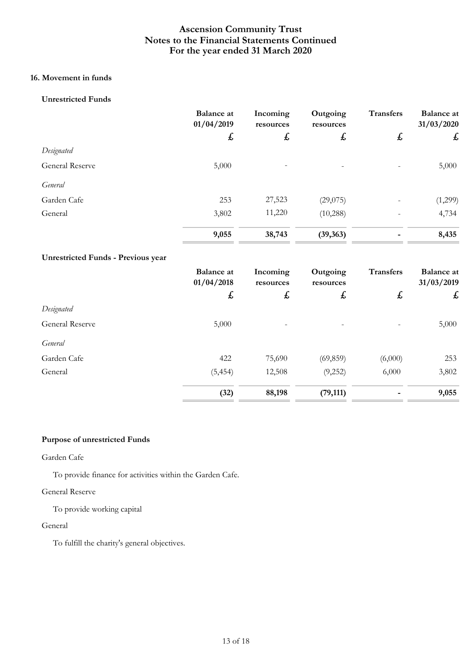### **16. Movement in funds**

### **Unrestricted Funds**

|                        | <b>Balance</b> at<br>01/04/2019 | Incoming<br>resources | Outgoing<br>resources        | <b>Transfers</b>             | <b>Balance</b> at<br>31/03/2020 |
|------------------------|---------------------------------|-----------------------|------------------------------|------------------------------|---------------------------------|
|                        | $\mathbf{f}$                    | £                     | $\mathbf{f}$                 | $\mathbf{t}$                 | $\pmb{\mathit{f}}$              |
| Designated             |                                 |                       |                              |                              |                                 |
| <b>General Reserve</b> | 5,000                           | $\qquad \qquad -$     | $\qquad \qquad \blacksquare$ |                              | 5,000                           |
| General                |                                 |                       |                              |                              |                                 |
| Garden Cafe            | 253                             | 27,523                | (29,075)                     |                              | (1,299)                         |
| General                | 3,802                           | 11,220                | (10, 288)                    | $\qquad \qquad \blacksquare$ | 4,734                           |
|                        | 9,055                           | 38,743                | (39, 363)                    |                              | 8,435                           |

#### **Unrestricted Funds - Previous year**

|                        | <b>Balance</b> at<br>01/04/2018 | Incoming<br>resources        | Outgoing<br>resources | <b>Transfers</b> | <b>Balance</b> at<br>31/03/2019 |
|------------------------|---------------------------------|------------------------------|-----------------------|------------------|---------------------------------|
|                        | $\boldsymbol{f}$                | $\boldsymbol{t}$             | $\boldsymbol{t}$      | $\boldsymbol{t}$ | £                               |
| Designated             |                                 |                              |                       |                  |                                 |
| <b>General Reserve</b> | 5,000                           | $\qquad \qquad \blacksquare$ |                       |                  | 5,000                           |
| General                |                                 |                              |                       |                  |                                 |
| Garden Cafe            | 422                             | 75,690                       | (69, 859)             | (6,000)          | 253                             |
| General                | (5, 454)                        | 12,508                       | (9,252)               | 6,000            | 3,802                           |
|                        | (32)                            | 88,198                       | (79, 111)             |                  | 9,055                           |

### **Purpose of unrestricted Funds**

Garden Cafe

To provide finance for activities within the Garden Cafe.

### General Reserve

To provide working capital

#### General

To fulfill the charity's general objectives.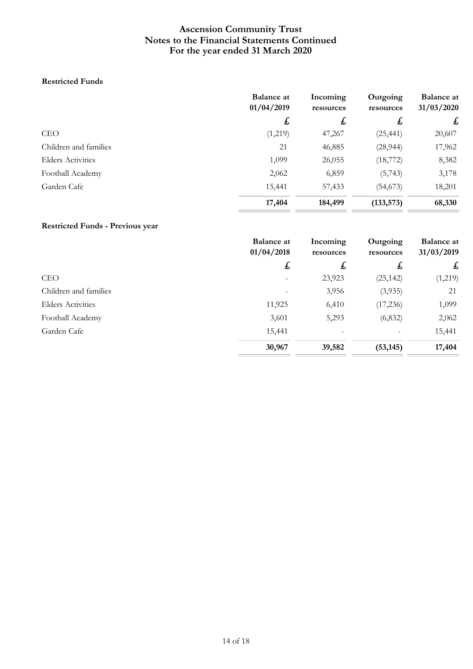### **Restricted Funds**

|                          | <b>Balance at</b><br>01/04/2019 | Incoming<br>resources | Outgoing<br>resources | <b>Balance at</b><br>31/03/2020 |
|--------------------------|---------------------------------|-----------------------|-----------------------|---------------------------------|
|                          | $\mathbf{f}$                    | $\mathbf{f}$          | £                     | $\mathbf{f}$                    |
| <b>CEO</b>               | (1,219)                         | 47,267                | (25, 441)             | 20,607                          |
| Children and families    | 21                              | 46,885                | (28, 944)             | 17,962                          |
| <b>Elders Activities</b> | 1,099                           | 26,055                | (18, 772)             | 8,382                           |
| Football Academy         | 2,062                           | 6,859                 | (5, 743)              | 3,178                           |
| Garden Cafe              | 15,441                          | 57,433                | (54, 673)             | 18,201                          |
|                          | 17,404                          | 184,499               | (133, 573)            | 68,330                          |

### **Restricted Funds - Previous year**

|                          | <b>Balance at</b><br>01/04/2018 | Incoming<br>resources | Outgoing<br>resources | <b>Balance at</b><br>31/03/2019 |
|--------------------------|---------------------------------|-----------------------|-----------------------|---------------------------------|
|                          | £                               | $\mathbf{f}$          | £                     | $\mathbf{f}$                    |
| <b>CEO</b>               | $\overline{\phantom{0}}$        | 23,923                | (25, 142)             | (1,219)                         |
| Children and families    |                                 | 3,956                 | (3,935)               | 21                              |
| <b>Elders Activities</b> | 11,925                          | 6,410                 | (17,236)              | 1,099                           |
| Football Academy         | 3,601                           | 5,293                 | (6, 832)              | 2,062                           |
| Garden Cafe              | 15,441                          |                       |                       | 15,441                          |
|                          | 30,967                          | 39,582                | (53, 145)             | 17,404                          |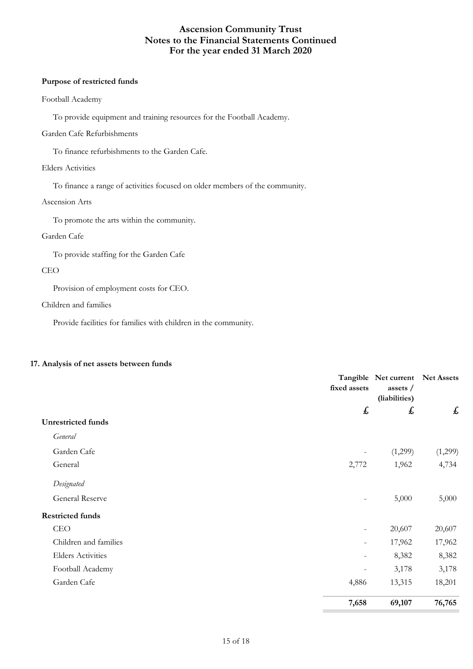### **Purpose of restricted funds**

#### Football Academy

To provide equipment and training resources for the Football Academy.

### Garden Cafe Refurbishments

To finance refurbishments to the Garden Cafe.

### Elders Activities

To finance a range of activities focused on older members of the community.

### Ascension Arts

To promote the arts within the community.

### Garden Cafe

To provide staffing for the Garden Cafe

#### CEO

Provision of employment costs for CEO.

### Children and families

Provide facilities for families with children in the community.

#### **17. Analysis of net assets between funds**

|                           | fixed assets             | Tangible Net current<br>assets /<br>(liabilities) | Net Assets |
|---------------------------|--------------------------|---------------------------------------------------|------------|
|                           | £                        | £                                                 | £          |
| <b>Unrestricted funds</b> |                          |                                                   |            |
| General                   |                          |                                                   |            |
| Garden Cafe               | $\overline{\phantom{a}}$ | (1,299)                                           | (1,299)    |
| General                   | 2,772                    | 1,962                                             | 4,734      |
| Designated                |                          |                                                   |            |
| <b>General Reserve</b>    | $\overline{\phantom{a}}$ | 5,000                                             | 5,000      |
| <b>Restricted funds</b>   |                          |                                                   |            |
| <b>CEO</b>                | $\overline{\phantom{a}}$ | 20,607                                            | 20,607     |
| Children and families     | $\overline{\phantom{a}}$ | 17,962                                            | 17,962     |
| <b>Elders Activities</b>  | $\overline{\phantom{a}}$ | 8,382                                             | 8,382      |
| Football Academy          | $\overline{\phantom{a}}$ | 3,178                                             | 3,178      |
| Garden Cafe               | 4,886                    | 13,315                                            | 18,201     |
|                           | 7,658                    | 69,107                                            | 76,765     |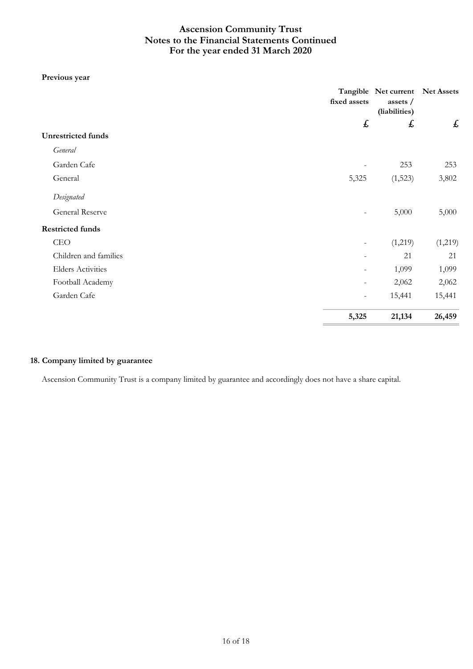### **Previous year**

|                           | fixed assets             | Tangible Net current Net Assets<br>assets /<br>(liabilities)<br>£ | $\pmb{\mathit{f}}$ |
|---------------------------|--------------------------|-------------------------------------------------------------------|--------------------|
|                           | £                        |                                                                   |                    |
| <b>Unrestricted</b> funds |                          |                                                                   |                    |
| General                   |                          |                                                                   |                    |
| Garden Cafe               |                          | 253                                                               | 253                |
| General                   | 5,325                    | (1,523)                                                           | 3,802              |
| Designated                |                          |                                                                   |                    |
| General Reserve           | $\overline{\phantom{0}}$ | 5,000                                                             | 5,000              |
| <b>Restricted funds</b>   |                          |                                                                   |                    |
| <b>CEO</b>                | $\overline{\phantom{a}}$ | (1,219)                                                           | (1,219)            |
| Children and families     |                          | 21                                                                | 21                 |
| <b>Elders Activities</b>  |                          | 1,099                                                             | 1,099              |
| Football Academy          | $\overline{\phantom{a}}$ | 2,062                                                             | 2,062              |
| Garden Cafe               | $-$                      | 15,441                                                            | 15,441             |
|                           | 5,325                    | 21,134                                                            | 26,459             |

### **18. Company limited by guarantee**

Ascension Community Trust is a company limited by guarantee and accordingly does not have a share capital.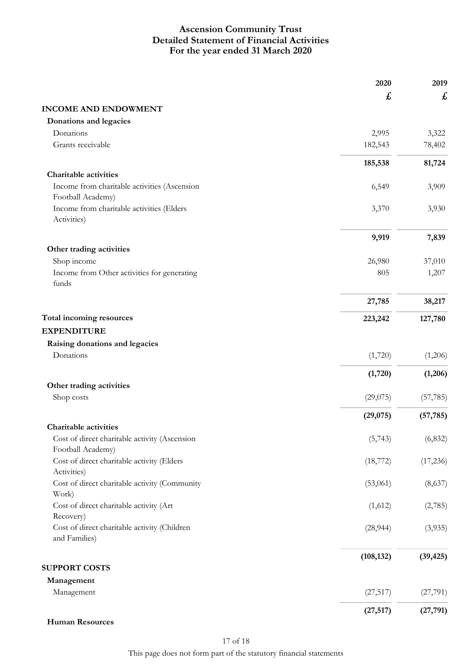# **For the year ended 31 March 2020 Ascension Community Trust Detailed Statement of Financial Activities**

|                                                                    | 2020       | 2019      |
|--------------------------------------------------------------------|------------|-----------|
|                                                                    | £          | £         |
| <b>INCOME AND ENDOWMENT</b>                                        |            |           |
| Donations and legacies                                             |            |           |
| Donations                                                          | 2,995      | 3,322     |
| Grants receivable                                                  | 182,543    | 78,402    |
|                                                                    | 185,538    | 81,724    |
| <b>Charitable activities</b>                                       |            |           |
| Income from charitable activities (Ascension                       | 6,549      | 3,909     |
| Football Academy)                                                  |            |           |
| Income from charitable activities (Elders<br>Activities)           | 3,370      | 3,930     |
|                                                                    | 9,919      | 7,839     |
| Other trading activities                                           |            |           |
| Shop income                                                        | 26,980     | 37,010    |
| Income from Other activities for generating<br>funds               | 805        | 1,207     |
|                                                                    | 27,785     | 38,217    |
| Total incoming resources                                           | 223,242    | 127,780   |
| <b>EXPENDITURE</b>                                                 |            |           |
| Raising donations and legacies                                     |            |           |
| Donations                                                          | (1,720)    | (1,206)   |
|                                                                    | (1,720)    | (1,206)   |
| Other trading activities                                           |            |           |
| Shop costs                                                         | (29,075)   | (57, 785) |
|                                                                    | (29,075)   | (57, 785) |
| Charitable activities                                              |            |           |
| Cost of direct charitable activity (Ascension<br>Football Academy) | (5,743)    | (6, 832)  |
| Cost of direct charitable activity (Elders<br>Activities)          | (18, 772)  | (17,236)  |
| Cost of direct charitable activity (Community<br>Work)             | (53,061)   | (8,637)   |
| Cost of direct charitable activity (Art<br>Recovery)               | (1,612)    | (2,785)   |
| Cost of direct charitable activity (Children<br>and Families)      | (28, 944)  | (3,935)   |
|                                                                    | (108, 132) | (39, 425) |
| <b>SUPPORT COSTS</b>                                               |            |           |
| Management<br>Management                                           | (27, 517)  | (27,791)  |
|                                                                    | (27, 517)  | (27, 791) |

**Human Resources**